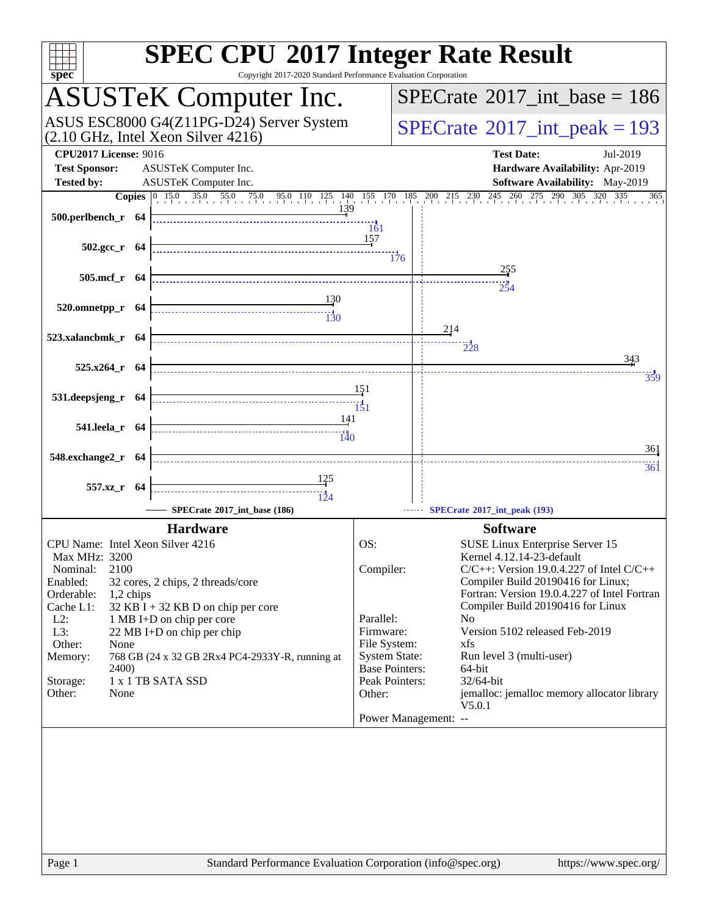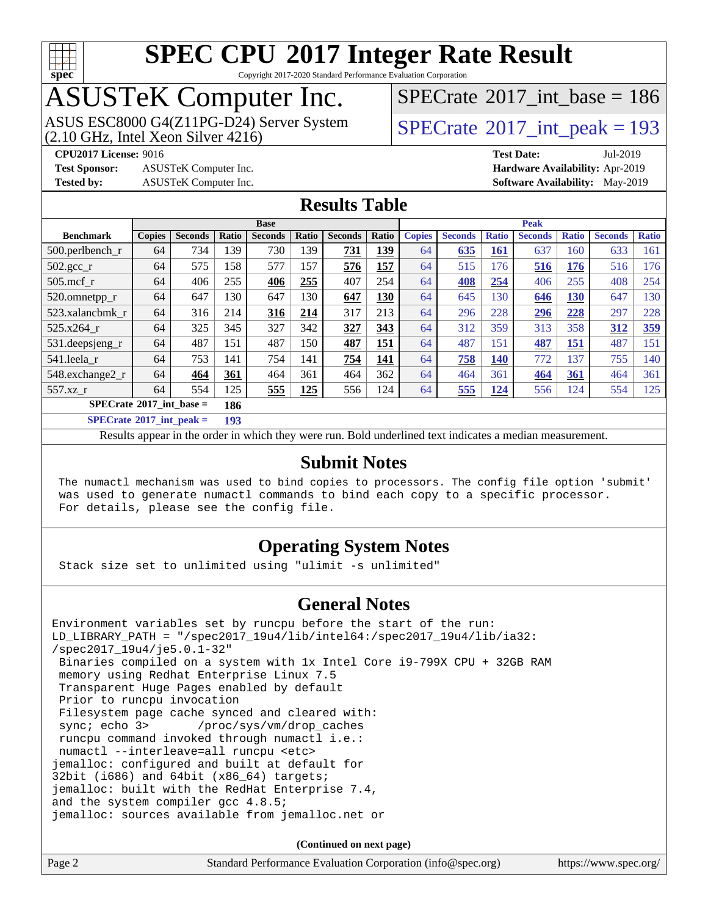

Copyright 2017-2020 Standard Performance Evaluation Corporation

# ASUSTeK Computer Inc.<br>ASUS ESC8000 G4(Z11PG-D24) Server System

 $(2.10$  GHz, Intel Xeon Silver  $4216$ )

 $SPECrate$ <sup>®</sup>[2017\\_int\\_base =](http://www.spec.org/auto/cpu2017/Docs/result-fields.html#SPECrate2017intbase) 186

**[Test Sponsor:](http://www.spec.org/auto/cpu2017/Docs/result-fields.html#TestSponsor)** ASUSTeK Computer Inc. **[Hardware Availability:](http://www.spec.org/auto/cpu2017/Docs/result-fields.html#HardwareAvailability)** Apr-2019

 $SPECTate<sup>®</sup>2017_int_ppeak = 193$ 

**[CPU2017 License:](http://www.spec.org/auto/cpu2017/Docs/result-fields.html#CPU2017License)** 9016 **[Test Date:](http://www.spec.org/auto/cpu2017/Docs/result-fields.html#TestDate)** Jul-2019 **[Tested by:](http://www.spec.org/auto/cpu2017/Docs/result-fields.html#Testedby)** ASUSTeK Computer Inc. **[Software Availability:](http://www.spec.org/auto/cpu2017/Docs/result-fields.html#SoftwareAvailability)** May-2019

#### **[Results Table](http://www.spec.org/auto/cpu2017/Docs/result-fields.html#ResultsTable)**

| <b>Base</b>                                    |               |                |       | <b>Peak</b>    |       |                |       |               |                |              |                |              |                |              |
|------------------------------------------------|---------------|----------------|-------|----------------|-------|----------------|-------|---------------|----------------|--------------|----------------|--------------|----------------|--------------|
| <b>Benchmark</b>                               | <b>Copies</b> | <b>Seconds</b> | Ratio | <b>Seconds</b> | Ratio | <b>Seconds</b> | Ratio | <b>Copies</b> | <b>Seconds</b> | <b>Ratio</b> | <b>Seconds</b> | <b>Ratio</b> | <b>Seconds</b> | <b>Ratio</b> |
| $500.$ perlbench_r                             | 64            | 734            | 139   | 730            | 139   | 731            | 139   | 64            | 635            | 161          | 637            | 160          | 633            | 161          |
| $502.\text{gcc}$ <sub>r</sub>                  | 64            | 575            | 158   | 577            | 157   | 576            | 157   | 64            | 515            | 176          | 516            | 176          | 516            | 176          |
| $505$ .mcf r                                   | 64            | 406            | 255   | 406            | 255   | 407            | 254   | 64            | 408            | 254          | 406            | 255          | 408            | 254          |
| 520.omnetpp_r                                  | 64            | 647            | 130   | 647            | 130   | 647            | 130   | 64            | 645            | 130          | 646            | 130          | 647            | 130          |
| 523.xalancbmk_r                                | 64            | 316            | 214   | 316            | 214   | 317            | 213   | 64            | 296            | 228          | 296            | 228          | 297            | 228          |
| 525.x264 r                                     | 64            | 325            | 345   | 327            | 342   | 327            | 343   | 64            | 312            | 359          | 313            | 358          | 312            | 359          |
| 531.deepsjeng_r                                | 64            | 487            | 151   | 487            | 150   | 487            | 151   | 64            | 487            | 151          | <b>487</b>     | <u>151</u>   | 487            | 151          |
| 541.leela r                                    | 64            | 753            | 141   | 754            | 141   | 754            | 141   | 64            | 758            | <b>140</b>   | 772            | 137          | 755            | 140          |
| 548.exchange2_r                                | 64            | 464            | 361   | 464            | 361   | 464            | 362   | 64            | 464            | 361          | 464            | 361          | 464            | 361          |
| 557.xz r                                       | 64            | 554            | 125   | 555            | 125   | 556            | 124   | 64            | 555            | 124          | 556            | 124          | 554            | 125          |
| $SPECrate^{\circ}2017$ int base =<br>186       |               |                |       |                |       |                |       |               |                |              |                |              |                |              |
| $CDFC_{\text{mod}} \otimes 2017$ intervals $=$ |               |                | 102   |                |       |                |       |               |                |              |                |              |                |              |

**[SPECrate](http://www.spec.org/auto/cpu2017/Docs/result-fields.html#SPECrate2017intpeak)[2017\\_int\\_peak =](http://www.spec.org/auto/cpu2017/Docs/result-fields.html#SPECrate2017intpeak) 193**

Results appear in the [order in which they were run](http://www.spec.org/auto/cpu2017/Docs/result-fields.html#RunOrder). Bold underlined text [indicates a median measurement](http://www.spec.org/auto/cpu2017/Docs/result-fields.html#Median).

#### **[Submit Notes](http://www.spec.org/auto/cpu2017/Docs/result-fields.html#SubmitNotes)**

 The numactl mechanism was used to bind copies to processors. The config file option 'submit' was used to generate numactl commands to bind each copy to a specific processor. For details, please see the config file.

### **[Operating System Notes](http://www.spec.org/auto/cpu2017/Docs/result-fields.html#OperatingSystemNotes)**

Stack size set to unlimited using "ulimit -s unlimited"

#### **[General Notes](http://www.spec.org/auto/cpu2017/Docs/result-fields.html#GeneralNotes)**

Environment variables set by runcpu before the start of the run: LD\_LIBRARY\_PATH = "/spec2017\_19u4/lib/intel64:/spec2017\_19u4/lib/ia32: /spec2017\_19u4/je5.0.1-32" Binaries compiled on a system with 1x Intel Core i9-799X CPU + 32GB RAM memory using Redhat Enterprise Linux 7.5 Transparent Huge Pages enabled by default Prior to runcpu invocation Filesystem page cache synced and cleared with: sync; echo 3> /proc/sys/vm/drop\_caches runcpu command invoked through numactl i.e.: numactl --interleave=all runcpu <etc> jemalloc: configured and built at default for 32bit (i686) and 64bit (x86\_64) targets; jemalloc: built with the RedHat Enterprise 7.4, and the system compiler gcc 4.8.5; jemalloc: sources available from jemalloc.net or

**(Continued on next page)**

| Page 2 | Standard Performance Evaluation Corporation (info@spec.org) |  | https://www.spec.org/ |
|--------|-------------------------------------------------------------|--|-----------------------|
|--------|-------------------------------------------------------------|--|-----------------------|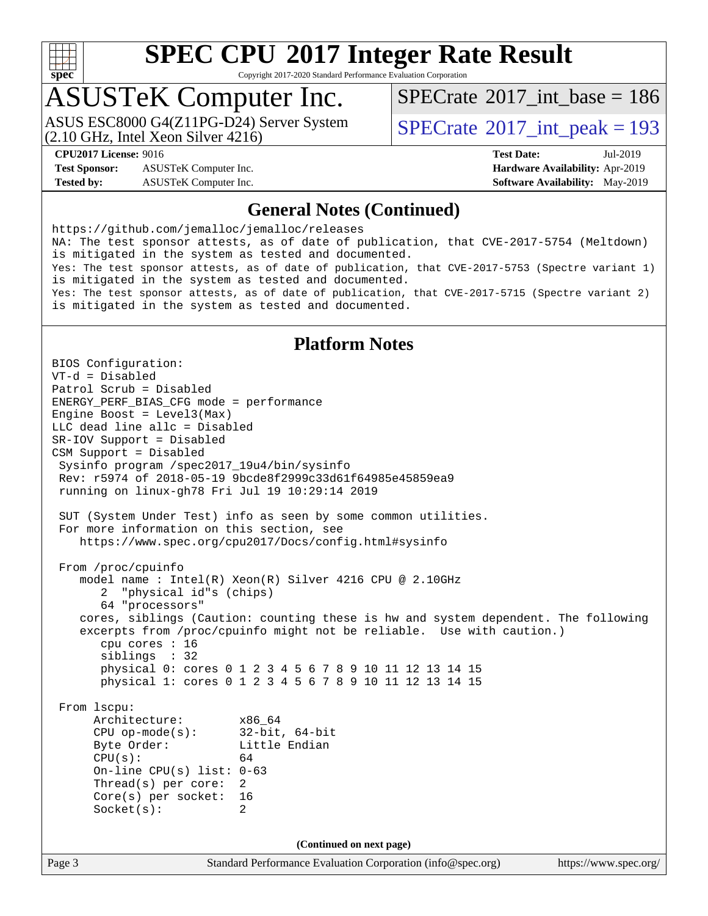

Copyright 2017-2020 Standard Performance Evaluation Corporation

# ASUSTeK Computer Inc.

(2.10 GHz, Intel Xeon Silver 4216) ASUS ESC8000 G4(Z11PG-D24) Server System  $S^{PI}$  [SPECrate](http://www.spec.org/auto/cpu2017/Docs/result-fields.html#SPECrate2017intpeak)®[2017\\_int\\_peak = 1](http://www.spec.org/auto/cpu2017/Docs/result-fields.html#SPECrate2017intpeak)93

 $SPECTate$ <sup>®</sup>[2017\\_int\\_base =](http://www.spec.org/auto/cpu2017/Docs/result-fields.html#SPECrate2017intbase) 186

**[Test Sponsor:](http://www.spec.org/auto/cpu2017/Docs/result-fields.html#TestSponsor)** ASUSTeK Computer Inc. **[Hardware Availability:](http://www.spec.org/auto/cpu2017/Docs/result-fields.html#HardwareAvailability)** Apr-2019 **[Tested by:](http://www.spec.org/auto/cpu2017/Docs/result-fields.html#Testedby)** ASUSTeK Computer Inc. **[Software Availability:](http://www.spec.org/auto/cpu2017/Docs/result-fields.html#SoftwareAvailability)** May-2019

**[CPU2017 License:](http://www.spec.org/auto/cpu2017/Docs/result-fields.html#CPU2017License)** 9016 **[Test Date:](http://www.spec.org/auto/cpu2017/Docs/result-fields.html#TestDate)** Jul-2019

#### **[General Notes \(Continued\)](http://www.spec.org/auto/cpu2017/Docs/result-fields.html#GeneralNotes)**

<https://github.com/jemalloc/jemalloc/releases> NA: The test sponsor attests, as of date of publication, that CVE-2017-5754 (Meltdown) is mitigated in the system as tested and documented. Yes: The test sponsor attests, as of date of publication, that CVE-2017-5753 (Spectre variant 1) is mitigated in the system as tested and documented. Yes: The test sponsor attests, as of date of publication, that CVE-2017-5715 (Spectre variant 2) is mitigated in the system as tested and documented.

### **[Platform Notes](http://www.spec.org/auto/cpu2017/Docs/result-fields.html#PlatformNotes)**

Page 3 Standard Performance Evaluation Corporation [\(info@spec.org\)](mailto:info@spec.org) <https://www.spec.org/> BIOS Configuration: VT-d = Disabled Patrol Scrub = Disabled ENERGY\_PERF\_BIAS\_CFG mode = performance Engine Boost = Level3(Max) LLC dead line allc = Disabled SR-IOV Support = Disabled CSM Support = Disabled Sysinfo program /spec2017\_19u4/bin/sysinfo Rev: r5974 of 2018-05-19 9bcde8f2999c33d61f64985e45859ea9 running on linux-gh78 Fri Jul 19 10:29:14 2019 SUT (System Under Test) info as seen by some common utilities. For more information on this section, see <https://www.spec.org/cpu2017/Docs/config.html#sysinfo> From /proc/cpuinfo model name : Intel(R) Xeon(R) Silver 4216 CPU @ 2.10GHz 2 "physical id"s (chips) 64 "processors" cores, siblings (Caution: counting these is hw and system dependent. The following excerpts from /proc/cpuinfo might not be reliable. Use with caution.) cpu cores : 16 siblings : 32 physical 0: cores 0 1 2 3 4 5 6 7 8 9 10 11 12 13 14 15 physical 1: cores 0 1 2 3 4 5 6 7 8 9 10 11 12 13 14 15 From lscpu: Architecture: x86\_64 CPU op-mode(s): 32-bit, 64-bit Byte Order: Little Endian  $CPU(s):$  64 On-line CPU(s) list: 0-63 Thread(s) per core: 2 Core(s) per socket: 16 Socket(s): 2 **(Continued on next page)**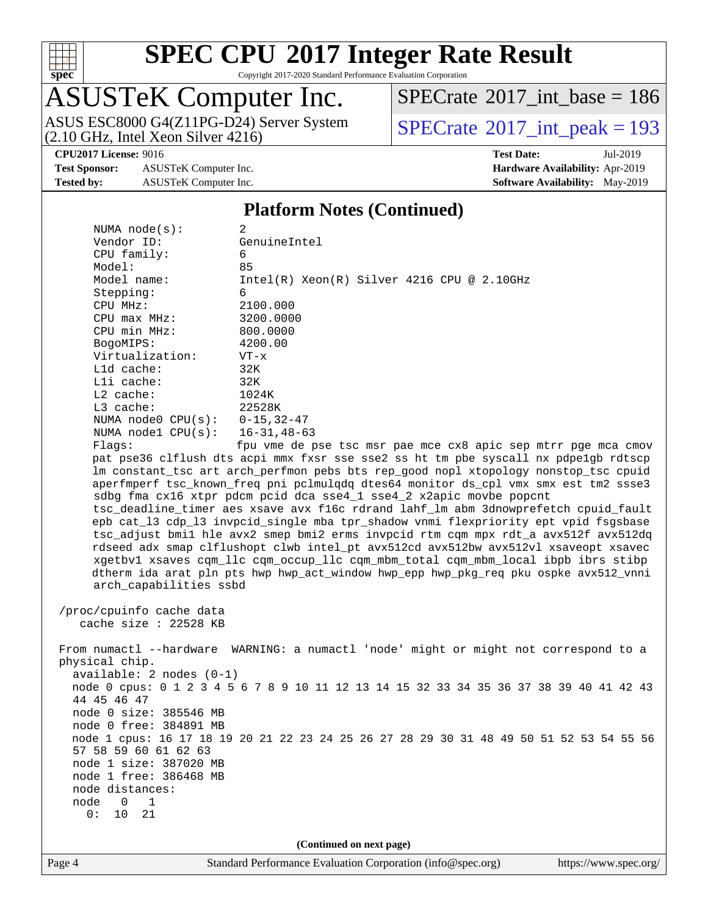

Copyright 2017-2020 Standard Performance Evaluation Corporation

# ASUSTeK Computer Inc.

ASUS ESC8000 G4(Z11PG-D24) Server System  $(2.10 \text{ GHz}, \text{ Intel Xeon Silver } 4216)$ 

 $SPECrate$ <sup>®</sup>[2017\\_int\\_base =](http://www.spec.org/auto/cpu2017/Docs/result-fields.html#SPECrate2017intbase) 186

**[Test Sponsor:](http://www.spec.org/auto/cpu2017/Docs/result-fields.html#TestSponsor)** ASUSTeK Computer Inc. **[Hardware Availability:](http://www.spec.org/auto/cpu2017/Docs/result-fields.html#HardwareAvailability)** Apr-2019 **[Tested by:](http://www.spec.org/auto/cpu2017/Docs/result-fields.html#Testedby)** ASUSTeK Computer Inc. **[Software Availability:](http://www.spec.org/auto/cpu2017/Docs/result-fields.html#SoftwareAvailability)** May-2019

**[CPU2017 License:](http://www.spec.org/auto/cpu2017/Docs/result-fields.html#CPU2017License)** 9016 **[Test Date:](http://www.spec.org/auto/cpu2017/Docs/result-fields.html#TestDate)** Jul-2019

#### **[Platform Notes \(Continued\)](http://www.spec.org/auto/cpu2017/Docs/result-fields.html#PlatformNotes)**

| NUMA $node(s)$ :                                    | 2                                                                                       |                       |
|-----------------------------------------------------|-----------------------------------------------------------------------------------------|-----------------------|
| Vendor ID:                                          | GenuineIntel                                                                            |                       |
| CPU family:                                         | 6                                                                                       |                       |
| Model:                                              | 85                                                                                      |                       |
| Model name:                                         | $Intel(R)$ Xeon $(R)$ Silver 4216 CPU @ 2.10GHz                                         |                       |
| Stepping:                                           | 6                                                                                       |                       |
| CPU MHz:                                            | 2100.000                                                                                |                       |
| $CPU$ max $MHz$ :                                   | 3200.0000                                                                               |                       |
| CPU min MHz:                                        | 800.0000                                                                                |                       |
| BogoMIPS:                                           | 4200.00                                                                                 |                       |
| Virtualization:                                     | $VT - x$                                                                                |                       |
| L1d cache:                                          | 32K                                                                                     |                       |
| Lli cache:                                          | 32K                                                                                     |                       |
| $L2$ cache:                                         | 1024K                                                                                   |                       |
| L3 cache:                                           | 22528K                                                                                  |                       |
| NUMA node0 CPU(s):                                  | $0 - 15, 32 - 47$                                                                       |                       |
| NUMA nodel $CPU(s):$                                | $16 - 31, 48 - 63$                                                                      |                       |
| Flags:                                              | fpu vme de pse tsc msr pae mce cx8 apic sep mtrr pge mca cmov                           |                       |
|                                                     | pat pse36 clflush dts acpi mmx fxsr sse sse2 ss ht tm pbe syscall nx pdpelgb rdtscp     |                       |
|                                                     | lm constant_tsc art arch_perfmon pebs bts rep_good nopl xtopology nonstop_tsc cpuid     |                       |
|                                                     | aperfmperf tsc_known_freq pni pclmulqdq dtes64 monitor ds_cpl vmx smx est tm2 ssse3     |                       |
|                                                     | sdbg fma cx16 xtpr pdcm pcid dca sse4_1 sse4_2 x2apic movbe popcnt                      |                       |
|                                                     | tsc_deadline_timer aes xsave avx f16c rdrand lahf_lm abm 3dnowprefetch cpuid_fault      |                       |
|                                                     | epb cat_13 cdp_13 invpcid_single mba tpr_shadow vnmi flexpriority ept vpid fsgsbase     |                       |
|                                                     | tsc_adjust bmil hle avx2 smep bmi2 erms invpcid rtm cqm mpx rdt_a avx512f avx512dq      |                       |
|                                                     | rdseed adx smap clflushopt clwb intel_pt avx512cd avx512bw avx512vl xsaveopt xsavec     |                       |
|                                                     | xgetbvl xsaves cqm_llc cqm_occup_llc cqm_mbm_total cqm_mbm_local ibpb ibrs stibp        |                       |
|                                                     | dtherm ida arat pln pts hwp hwp_act_window hwp_epp hwp_pkg_req pku ospke avx512_vnni    |                       |
| arch_capabilities ssbd                              |                                                                                         |                       |
|                                                     |                                                                                         |                       |
| /proc/cpuinfo cache data<br>cache size : $22528$ KB |                                                                                         |                       |
|                                                     |                                                                                         |                       |
|                                                     | From numactl --hardware WARNING: a numactl 'node' might or might not correspond to a    |                       |
| physical chip.                                      |                                                                                         |                       |
| $available: 2 nodes (0-1)$                          |                                                                                         |                       |
|                                                     | node 0 cpus: 0 1 2 3 4 5 6 7 8 9 10 11 12 13 14 15 32 33 34 35 36 37 38 39 40 41 42 43  |                       |
| 44 45 46 47                                         |                                                                                         |                       |
| node 0 size: 385546 MB                              |                                                                                         |                       |
| node 0 free: 384891 MB                              |                                                                                         |                       |
|                                                     | node 1 cpus: 16 17 18 19 20 21 22 23 24 25 26 27 28 29 30 31 48 49 50 51 52 53 54 55 56 |                       |
| 57 58 59 60 61 62 63                                |                                                                                         |                       |
| node 1 size: 387020 MB                              |                                                                                         |                       |
| node 1 free: 386468 MB                              |                                                                                         |                       |
| node distances:                                     |                                                                                         |                       |
| node<br>0<br>1                                      |                                                                                         |                       |
| 0:<br>10<br>21                                      |                                                                                         |                       |
|                                                     |                                                                                         |                       |
|                                                     | (Continued on next page)                                                                |                       |
| Page 4                                              | Standard Performance Evaluation Corporation (info@spec.org)                             | https://www.spec.org/ |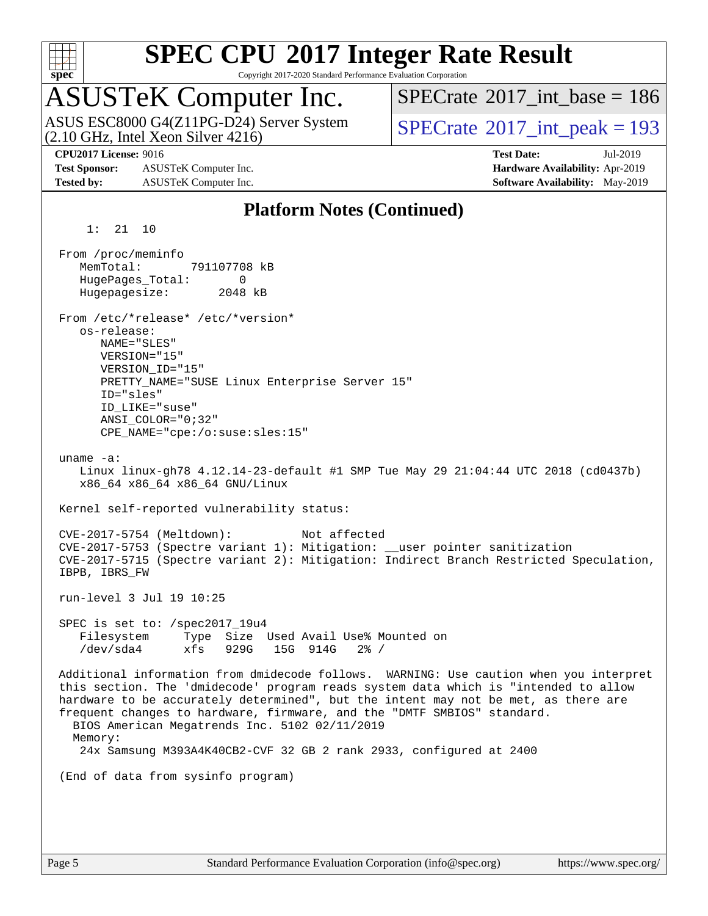

Copyright 2017-2020 Standard Performance Evaluation Corporation

# ASUSTeK Computer Inc.

(2.10 GHz, Intel Xeon Silver 4216) ASUS ESC8000 G4(Z11PG-D24) Server System  $S^{PI}$  [SPECrate](http://www.spec.org/auto/cpu2017/Docs/result-fields.html#SPECrate2017intpeak)®[2017\\_int\\_peak = 1](http://www.spec.org/auto/cpu2017/Docs/result-fields.html#SPECrate2017intpeak)93

 $SPECTate$ <sup>®</sup>[2017\\_int\\_base =](http://www.spec.org/auto/cpu2017/Docs/result-fields.html#SPECrate2017intbase) 186

**[Test Sponsor:](http://www.spec.org/auto/cpu2017/Docs/result-fields.html#TestSponsor)** ASUSTeK Computer Inc. **[Hardware Availability:](http://www.spec.org/auto/cpu2017/Docs/result-fields.html#HardwareAvailability)** Apr-2019 **[Tested by:](http://www.spec.org/auto/cpu2017/Docs/result-fields.html#Testedby)** ASUSTeK Computer Inc. **[Software Availability:](http://www.spec.org/auto/cpu2017/Docs/result-fields.html#SoftwareAvailability)** May-2019

**[CPU2017 License:](http://www.spec.org/auto/cpu2017/Docs/result-fields.html#CPU2017License)** 9016 **[Test Date:](http://www.spec.org/auto/cpu2017/Docs/result-fields.html#TestDate)** Jul-2019

#### **[Platform Notes \(Continued\)](http://www.spec.org/auto/cpu2017/Docs/result-fields.html#PlatformNotes)**

1: 21 10

 From /proc/meminfo MemTotal: 791107708 kB HugePages\_Total: 0 Hugepagesize: 2048 kB From /etc/\*release\* /etc/\*version\* os-release: NAME="SLES" VERSION="15" VERSION\_ID="15" PRETTY\_NAME="SUSE Linux Enterprise Server 15" ID="sles" ID\_LIKE="suse" ANSI\_COLOR="0;32" CPE\_NAME="cpe:/o:suse:sles:15" uname -a: Linux linux-gh78 4.12.14-23-default #1 SMP Tue May 29 21:04:44 UTC 2018 (cd0437b) x86\_64 x86\_64 x86\_64 GNU/Linux Kernel self-reported vulnerability status: CVE-2017-5754 (Meltdown): Not affected CVE-2017-5753 (Spectre variant 1): Mitigation: \_\_user pointer sanitization CVE-2017-5715 (Spectre variant 2): Mitigation: Indirect Branch Restricted Speculation, IBPB, IBRS\_FW run-level 3 Jul 19 10:25 SPEC is set to: /spec2017\_19u4 Filesystem Type Size Used Avail Use% Mounted on /dev/sda4 xfs 929G 15G 914G 2% / Additional information from dmidecode follows. WARNING: Use caution when you interpret this section. The 'dmidecode' program reads system data which is "intended to allow hardware to be accurately determined", but the intent may not be met, as there are frequent changes to hardware, firmware, and the "DMTF SMBIOS" standard. BIOS American Megatrends Inc. 5102 02/11/2019 Memory: 24x Samsung M393A4K40CB2-CVF 32 GB 2 rank 2933, configured at 2400 (End of data from sysinfo program)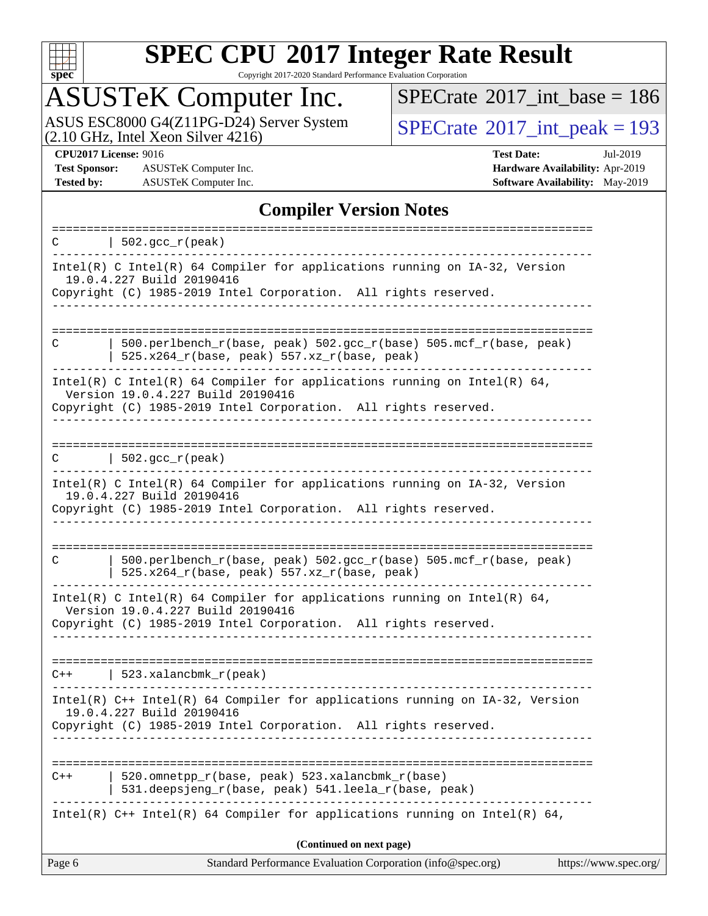

Copyright 2017-2020 Standard Performance Evaluation Corporation

# ASUSTeK Computer Inc.

ASUS ESC8000 G4(Z11PG-D24) Server System  $(2.10 \text{ GHz}, \text{ Intel Xeon Silver } 4216)$ 

 $SPECrate$ <sup>®</sup>[2017\\_int\\_base =](http://www.spec.org/auto/cpu2017/Docs/result-fields.html#SPECrate2017intbase) 186

**[Test Sponsor:](http://www.spec.org/auto/cpu2017/Docs/result-fields.html#TestSponsor)** ASUSTeK Computer Inc. **[Hardware Availability:](http://www.spec.org/auto/cpu2017/Docs/result-fields.html#HardwareAvailability)** Apr-2019 **[Tested by:](http://www.spec.org/auto/cpu2017/Docs/result-fields.html#Testedby)** ASUSTeK Computer Inc. **[Software Availability:](http://www.spec.org/auto/cpu2017/Docs/result-fields.html#SoftwareAvailability)** May-2019

**[CPU2017 License:](http://www.spec.org/auto/cpu2017/Docs/result-fields.html#CPU2017License)** 9016 **[Test Date:](http://www.spec.org/auto/cpu2017/Docs/result-fields.html#TestDate)** Jul-2019

#### **[Compiler Version Notes](http://www.spec.org/auto/cpu2017/Docs/result-fields.html#CompilerVersionNotes)**

| C      | $  502.\text{sec}_r(\text{peak})$                                                                                                                                                 |                       |
|--------|-----------------------------------------------------------------------------------------------------------------------------------------------------------------------------------|-----------------------|
|        | Intel(R) C Intel(R) 64 Compiler for applications running on $IA-32$ , Version<br>19.0.4.227 Build 20190416<br>Copyright (C) 1985-2019 Intel Corporation. All rights reserved.     |                       |
|        |                                                                                                                                                                                   |                       |
| C      | $500.perlbench_r(base, peak) 502.sec_r(base) 505.mcf_r(base, peak)$<br>525.x264_r(base, peak) 557.xz_r(base, peak)                                                                |                       |
|        | Intel(R) C Intel(R) 64 Compiler for applications running on Intel(R) 64,<br>Version 19.0.4.227 Build 20190416<br>Copyright (C) 1985-2019 Intel Corporation. All rights reserved.  |                       |
|        |                                                                                                                                                                                   |                       |
| C      | $\vert$ 502.gcc_r(peak)                                                                                                                                                           |                       |
|        | Intel(R) C Intel(R) 64 Compiler for applications running on IA-32, Version<br>19.0.4.227 Build 20190416<br>Copyright (C) 1985-2019 Intel Corporation. All rights reserved.        |                       |
|        | .                                                                                                                                                                                 |                       |
| C      | 500.perlbench_r(base, peak) 502.gcc_r(base) 505.mcf_r(base, peak)<br>525.x264_r(base, peak) 557.xz_r(base, peak)                                                                  |                       |
|        | Intel(R) C Intel(R) 64 Compiler for applications running on Intel(R) 64,<br>Version 19.0.4.227 Build 20190416                                                                     |                       |
|        | Copyright (C) 1985-2019 Intel Corporation. All rights reserved.                                                                                                                   |                       |
|        | $C++$   523.xalancbmk_r(peak)                                                                                                                                                     |                       |
|        | Intel(R) $C++$ Intel(R) 64 Compiler for applications running on $IA-32$ , Version<br>19.0.4.227 Build 20190416<br>Copyright (C) 1985-2019 Intel Corporation. All rights reserved. |                       |
|        |                                                                                                                                                                                   |                       |
| $C++$  | 520.omnetpp_r(base, peak) 523.xalancbmk_r(base)<br>531.deepsjeng_r(base, peak) 541.leela_r(base, peak)                                                                            |                       |
|        | Intel(R) $C++$ Intel(R) 64 Compiler for applications running on Intel(R) 64,                                                                                                      |                       |
|        | (Continued on next page)                                                                                                                                                          |                       |
| Page 6 | Standard Performance Evaluation Corporation (info@spec.org)                                                                                                                       | https://www.spec.org/ |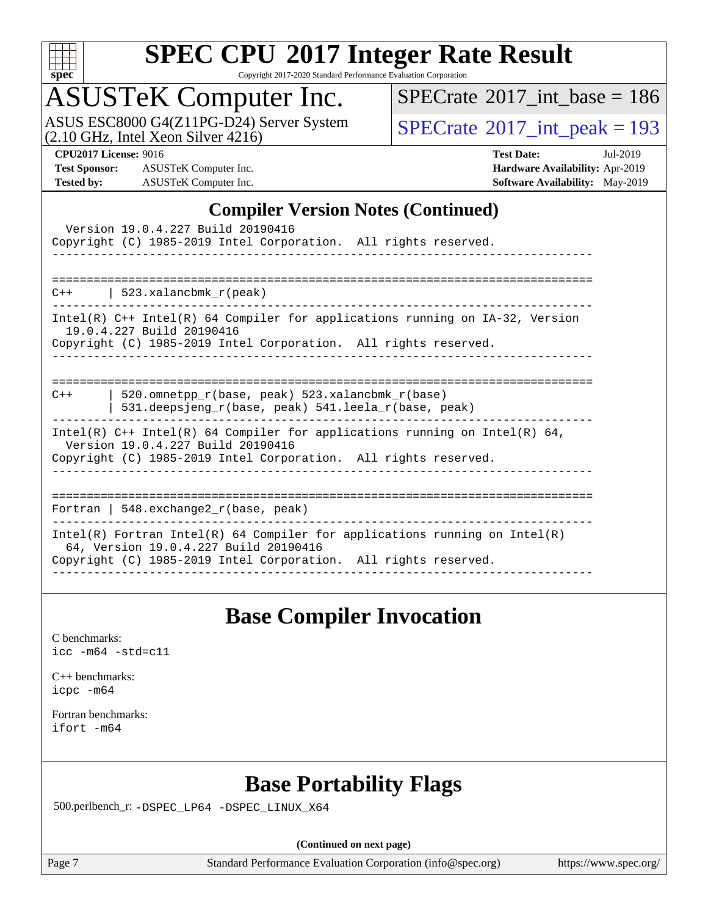

Copyright 2017-2020 Standard Performance Evaluation Corporation

# ASUSTeK Computer Inc.

ASUS ESC8000 G4(Z11PG-D24) Server System<br>(2.10 GHz, Intel Xeon Silver 4216)

 $SPECTate@2017_int\_base = 186$ 

 $SPECTate<sup>®</sup>2017_int_ppeak = 193$ 

**[Test Sponsor:](http://www.spec.org/auto/cpu2017/Docs/result-fields.html#TestSponsor)** ASUSTeK Computer Inc. **[Hardware Availability:](http://www.spec.org/auto/cpu2017/Docs/result-fields.html#HardwareAvailability)** Apr-2019 **[Tested by:](http://www.spec.org/auto/cpu2017/Docs/result-fields.html#Testedby)** ASUSTeK Computer Inc. **[Software Availability:](http://www.spec.org/auto/cpu2017/Docs/result-fields.html#SoftwareAvailability)** May-2019

**[CPU2017 License:](http://www.spec.org/auto/cpu2017/Docs/result-fields.html#CPU2017License)** 9016 **[Test Date:](http://www.spec.org/auto/cpu2017/Docs/result-fields.html#TestDate)** Jul-2019

#### **[Compiler Version Notes \(Continued\)](http://www.spec.org/auto/cpu2017/Docs/result-fields.html#CompilerVersionNotes)**

| Version 19.0.4.227 Build 20190416<br>Copyright (C) 1985-2019 Intel Corporation. All rights reserved.                                                                                   |
|----------------------------------------------------------------------------------------------------------------------------------------------------------------------------------------|
| $C++$   523.xalancbmk $r(\text{peak})$                                                                                                                                                 |
| Intel(R) C++ Intel(R) 64 Compiler for applications running on IA-32, Version<br>19.0.4.227 Build 20190416<br>Copyright (C) 1985-2019 Intel Corporation. All rights reserved.           |
| 520.omnetpp $r(base, peak)$ 523.xalancbmk $r(base)$<br>$C++$<br>531.deepsjeng_r(base, peak) 541.leela_r(base, peak)                                                                    |
| Intel(R) $C++$ Intel(R) 64 Compiler for applications running on Intel(R) 64,<br>Version 19.0.4.227 Build 20190416<br>Copyright (C) 1985-2019 Intel Corporation. All rights reserved.   |
| Fortran   548. exchange $2\lfloor r(\text{base}, \text{peak}) \rfloor$                                                                                                                 |
| Intel(R) Fortran Intel(R) 64 Compiler for applications running on Intel(R)<br>64, Version 19.0.4.227 Build 20190416<br>Copyright (C) 1985-2019 Intel Corporation. All rights reserved. |

### **[Base Compiler Invocation](http://www.spec.org/auto/cpu2017/Docs/result-fields.html#BaseCompilerInvocation)**

[C benchmarks](http://www.spec.org/auto/cpu2017/Docs/result-fields.html#Cbenchmarks): [icc -m64 -std=c11](http://www.spec.org/cpu2017/results/res2019q3/cpu2017-20190805-16606.flags.html#user_CCbase_intel_icc_64bit_c11_33ee0cdaae7deeeab2a9725423ba97205ce30f63b9926c2519791662299b76a0318f32ddfffdc46587804de3178b4f9328c46fa7c2b0cd779d7a61945c91cd35)

[C++ benchmarks:](http://www.spec.org/auto/cpu2017/Docs/result-fields.html#CXXbenchmarks) [icpc -m64](http://www.spec.org/cpu2017/results/res2019q3/cpu2017-20190805-16606.flags.html#user_CXXbase_intel_icpc_64bit_4ecb2543ae3f1412ef961e0650ca070fec7b7afdcd6ed48761b84423119d1bf6bdf5cad15b44d48e7256388bc77273b966e5eb805aefd121eb22e9299b2ec9d9)

[Fortran benchmarks](http://www.spec.org/auto/cpu2017/Docs/result-fields.html#Fortranbenchmarks): [ifort -m64](http://www.spec.org/cpu2017/results/res2019q3/cpu2017-20190805-16606.flags.html#user_FCbase_intel_ifort_64bit_24f2bb282fbaeffd6157abe4f878425411749daecae9a33200eee2bee2fe76f3b89351d69a8130dd5949958ce389cf37ff59a95e7a40d588e8d3a57e0c3fd751)

## **[Base Portability Flags](http://www.spec.org/auto/cpu2017/Docs/result-fields.html#BasePortabilityFlags)**

500.perlbench\_r: [-DSPEC\\_LP64](http://www.spec.org/cpu2017/results/res2019q3/cpu2017-20190805-16606.flags.html#b500.perlbench_r_basePORTABILITY_DSPEC_LP64) [-DSPEC\\_LINUX\\_X64](http://www.spec.org/cpu2017/results/res2019q3/cpu2017-20190805-16606.flags.html#b500.perlbench_r_baseCPORTABILITY_DSPEC_LINUX_X64)

**(Continued on next page)**

Page 7 Standard Performance Evaluation Corporation [\(info@spec.org\)](mailto:info@spec.org) <https://www.spec.org/>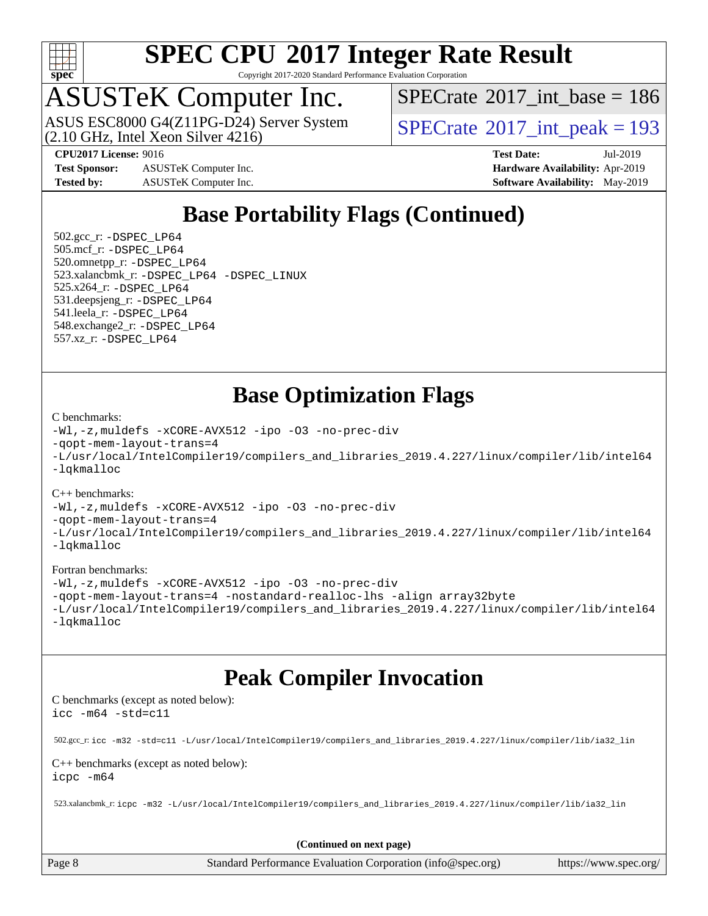

Copyright 2017-2020 Standard Performance Evaluation Corporation

# ASUSTeK Computer Inc.<br>ASUS ESC8000 G4(Z11PG-D24) Server System

(2.10 GHz, Intel Xeon Silver 4216)

 $SPECTate$ <sup>®</sup>[2017\\_int\\_base =](http://www.spec.org/auto/cpu2017/Docs/result-fields.html#SPECrate2017intbase) 186

 $SPECTate@2017_int_ppeak = 193$ 

**[Test Sponsor:](http://www.spec.org/auto/cpu2017/Docs/result-fields.html#TestSponsor)** ASUSTeK Computer Inc. **[Hardware Availability:](http://www.spec.org/auto/cpu2017/Docs/result-fields.html#HardwareAvailability)** Apr-2019 **[Tested by:](http://www.spec.org/auto/cpu2017/Docs/result-fields.html#Testedby)** ASUSTeK Computer Inc. **[Software Availability:](http://www.spec.org/auto/cpu2017/Docs/result-fields.html#SoftwareAvailability)** May-2019

**[CPU2017 License:](http://www.spec.org/auto/cpu2017/Docs/result-fields.html#CPU2017License)** 9016 **[Test Date:](http://www.spec.org/auto/cpu2017/Docs/result-fields.html#TestDate)** Jul-2019

# **[Base Portability Flags \(Continued\)](http://www.spec.org/auto/cpu2017/Docs/result-fields.html#BasePortabilityFlags)**

 502.gcc\_r: [-DSPEC\\_LP64](http://www.spec.org/cpu2017/results/res2019q3/cpu2017-20190805-16606.flags.html#suite_basePORTABILITY502_gcc_r_DSPEC_LP64) 505.mcf\_r: [-DSPEC\\_LP64](http://www.spec.org/cpu2017/results/res2019q3/cpu2017-20190805-16606.flags.html#suite_basePORTABILITY505_mcf_r_DSPEC_LP64) 520.omnetpp\_r: [-DSPEC\\_LP64](http://www.spec.org/cpu2017/results/res2019q3/cpu2017-20190805-16606.flags.html#suite_basePORTABILITY520_omnetpp_r_DSPEC_LP64) 523.xalancbmk\_r: [-DSPEC\\_LP64](http://www.spec.org/cpu2017/results/res2019q3/cpu2017-20190805-16606.flags.html#suite_basePORTABILITY523_xalancbmk_r_DSPEC_LP64) [-DSPEC\\_LINUX](http://www.spec.org/cpu2017/results/res2019q3/cpu2017-20190805-16606.flags.html#b523.xalancbmk_r_baseCXXPORTABILITY_DSPEC_LINUX) 525.x264\_r: [-DSPEC\\_LP64](http://www.spec.org/cpu2017/results/res2019q3/cpu2017-20190805-16606.flags.html#suite_basePORTABILITY525_x264_r_DSPEC_LP64) 531.deepsjeng\_r: [-DSPEC\\_LP64](http://www.spec.org/cpu2017/results/res2019q3/cpu2017-20190805-16606.flags.html#suite_basePORTABILITY531_deepsjeng_r_DSPEC_LP64) 541.leela\_r: [-DSPEC\\_LP64](http://www.spec.org/cpu2017/results/res2019q3/cpu2017-20190805-16606.flags.html#suite_basePORTABILITY541_leela_r_DSPEC_LP64) 548.exchange2\_r: [-DSPEC\\_LP64](http://www.spec.org/cpu2017/results/res2019q3/cpu2017-20190805-16606.flags.html#suite_basePORTABILITY548_exchange2_r_DSPEC_LP64) 557.xz\_r: [-DSPEC\\_LP64](http://www.spec.org/cpu2017/results/res2019q3/cpu2017-20190805-16606.flags.html#suite_basePORTABILITY557_xz_r_DSPEC_LP64)

## **[Base Optimization Flags](http://www.spec.org/auto/cpu2017/Docs/result-fields.html#BaseOptimizationFlags)**

#### [C benchmarks](http://www.spec.org/auto/cpu2017/Docs/result-fields.html#Cbenchmarks):

```
-Wl,-z,muldefs -xCORE-AVX512 -ipo -O3 -no-prec-div
-qopt-mem-layout-trans=4
-L/usr/local/IntelCompiler19/compilers_and_libraries_2019.4.227/linux/compiler/lib/intel64
-lqkmalloc
```
#### [C++ benchmarks](http://www.spec.org/auto/cpu2017/Docs/result-fields.html#CXXbenchmarks):

```
-Wl,-z,muldefs -xCORE-AVX512 -ipo -O3 -no-prec-div
-qopt-mem-layout-trans=4
-L/usr/local/IntelCompiler19/compilers_and_libraries_2019.4.227/linux/compiler/lib/intel64
-lqkmalloc
```
#### [Fortran benchmarks](http://www.spec.org/auto/cpu2017/Docs/result-fields.html#Fortranbenchmarks):

```
-Wl,-z,muldefs -xCORE-AVX512 -ipo -O3 -no-prec-div
-qopt-mem-layout-trans=4 -nostandard-realloc-lhs -align array32byte
-L/usr/local/IntelCompiler19/compilers_and_libraries_2019.4.227/linux/compiler/lib/intel64
-lqkmalloc
```
## **[Peak Compiler Invocation](http://www.spec.org/auto/cpu2017/Docs/result-fields.html#PeakCompilerInvocation)**

[C benchmarks \(except as noted below\)](http://www.spec.org/auto/cpu2017/Docs/result-fields.html#Cbenchmarksexceptasnotedbelow): [icc -m64 -std=c11](http://www.spec.org/cpu2017/results/res2019q3/cpu2017-20190805-16606.flags.html#user_CCpeak_intel_icc_64bit_c11_33ee0cdaae7deeeab2a9725423ba97205ce30f63b9926c2519791662299b76a0318f32ddfffdc46587804de3178b4f9328c46fa7c2b0cd779d7a61945c91cd35)

502.gcc\_r: [icc -m32 -std=c11 -L/usr/local/IntelCompiler19/compilers\\_and\\_libraries\\_2019.4.227/linux/compiler/lib/ia32\\_lin](http://www.spec.org/cpu2017/results/res2019q3/cpu2017-20190805-16606.flags.html#user_peakCCLD502_gcc_r_intel_icc_38a193a897536fa645efb1dc6ac2bea2bddbbe56f130e144a606d1b2649003f27c79f8814020c1f9355cbbf0d7ab0d194a7a979ee1e2a95641bbb8cf571aac7b)

#### [C++ benchmarks \(except as noted below\)](http://www.spec.org/auto/cpu2017/Docs/result-fields.html#CXXbenchmarksexceptasnotedbelow): [icpc -m64](http://www.spec.org/cpu2017/results/res2019q3/cpu2017-20190805-16606.flags.html#user_CXXpeak_intel_icpc_64bit_4ecb2543ae3f1412ef961e0650ca070fec7b7afdcd6ed48761b84423119d1bf6bdf5cad15b44d48e7256388bc77273b966e5eb805aefd121eb22e9299b2ec9d9)

523.xalancbmk\_r: [icpc -m32 -L/usr/local/IntelCompiler19/compilers\\_and\\_libraries\\_2019.4.227/linux/compiler/lib/ia32\\_lin](http://www.spec.org/cpu2017/results/res2019q3/cpu2017-20190805-16606.flags.html#user_peakCXXLD523_xalancbmk_r_intel_icpc_840f965b38320ad10acba6032d6ca4c816e722c432c250f3408feae347068ba449f694544a48cf12cd3bde3495e328e6747ab0f629c2925d3062e2ee144af951)

**(Continued on next page)**

Page 8 Standard Performance Evaluation Corporation [\(info@spec.org\)](mailto:info@spec.org) <https://www.spec.org/>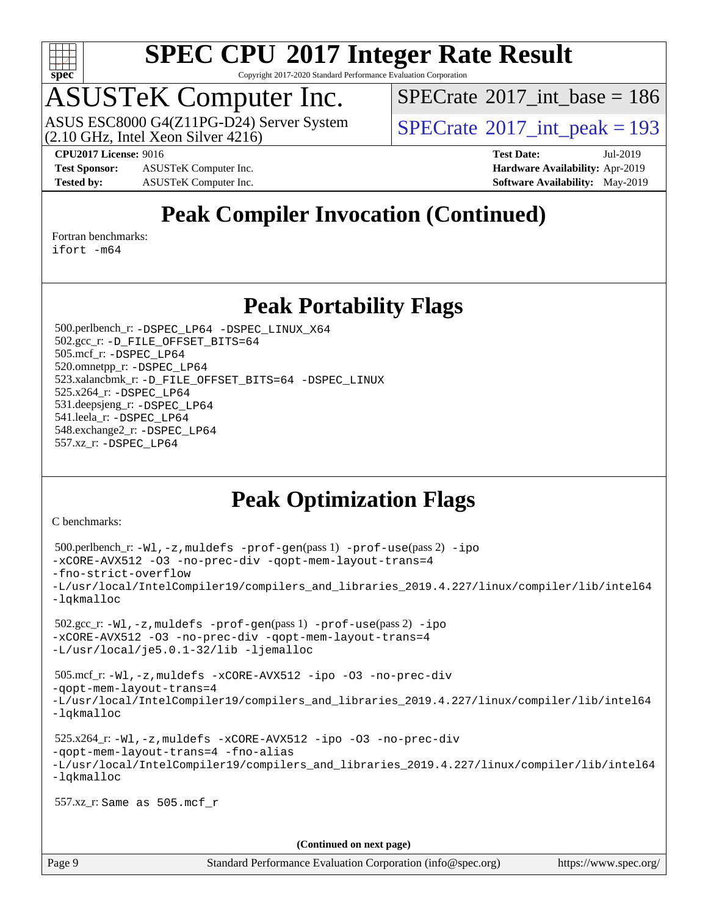

Copyright 2017-2020 Standard Performance Evaluation Corporation

# ASUSTeK Computer Inc.<br>ASUS ESC8000 G4(Z11PG-D24) Server System

(2.10 GHz, Intel Xeon Silver 4216)

 $SPECTate$ <sup>®</sup>[2017\\_int\\_base =](http://www.spec.org/auto/cpu2017/Docs/result-fields.html#SPECrate2017intbase) 186

 $SPECTate@2017_int_ppeak = 193$ 

**[Test Sponsor:](http://www.spec.org/auto/cpu2017/Docs/result-fields.html#TestSponsor)** ASUSTeK Computer Inc. **[Hardware Availability:](http://www.spec.org/auto/cpu2017/Docs/result-fields.html#HardwareAvailability)** Apr-2019 **[Tested by:](http://www.spec.org/auto/cpu2017/Docs/result-fields.html#Testedby)** ASUSTeK Computer Inc. **[Software Availability:](http://www.spec.org/auto/cpu2017/Docs/result-fields.html#SoftwareAvailability)** May-2019

**[CPU2017 License:](http://www.spec.org/auto/cpu2017/Docs/result-fields.html#CPU2017License)** 9016 **[Test Date:](http://www.spec.org/auto/cpu2017/Docs/result-fields.html#TestDate)** Jul-2019

## **[Peak Compiler Invocation \(Continued\)](http://www.spec.org/auto/cpu2017/Docs/result-fields.html#PeakCompilerInvocation)**

[Fortran benchmarks](http://www.spec.org/auto/cpu2017/Docs/result-fields.html#Fortranbenchmarks):

[ifort -m64](http://www.spec.org/cpu2017/results/res2019q3/cpu2017-20190805-16606.flags.html#user_FCpeak_intel_ifort_64bit_24f2bb282fbaeffd6157abe4f878425411749daecae9a33200eee2bee2fe76f3b89351d69a8130dd5949958ce389cf37ff59a95e7a40d588e8d3a57e0c3fd751)

### **[Peak Portability Flags](http://www.spec.org/auto/cpu2017/Docs/result-fields.html#PeakPortabilityFlags)**

 500.perlbench\_r: [-DSPEC\\_LP64](http://www.spec.org/cpu2017/results/res2019q3/cpu2017-20190805-16606.flags.html#b500.perlbench_r_peakPORTABILITY_DSPEC_LP64) [-DSPEC\\_LINUX\\_X64](http://www.spec.org/cpu2017/results/res2019q3/cpu2017-20190805-16606.flags.html#b500.perlbench_r_peakCPORTABILITY_DSPEC_LINUX_X64) 502.gcc\_r: [-D\\_FILE\\_OFFSET\\_BITS=64](http://www.spec.org/cpu2017/results/res2019q3/cpu2017-20190805-16606.flags.html#user_peakPORTABILITY502_gcc_r_file_offset_bits_64_5ae949a99b284ddf4e95728d47cb0843d81b2eb0e18bdfe74bbf0f61d0b064f4bda2f10ea5eb90e1dcab0e84dbc592acfc5018bc955c18609f94ddb8d550002c) 505.mcf\_r: [-DSPEC\\_LP64](http://www.spec.org/cpu2017/results/res2019q3/cpu2017-20190805-16606.flags.html#suite_peakPORTABILITY505_mcf_r_DSPEC_LP64) 520.omnetpp\_r: [-DSPEC\\_LP64](http://www.spec.org/cpu2017/results/res2019q3/cpu2017-20190805-16606.flags.html#suite_peakPORTABILITY520_omnetpp_r_DSPEC_LP64) 523.xalancbmk\_r: [-D\\_FILE\\_OFFSET\\_BITS=64](http://www.spec.org/cpu2017/results/res2019q3/cpu2017-20190805-16606.flags.html#user_peakPORTABILITY523_xalancbmk_r_file_offset_bits_64_5ae949a99b284ddf4e95728d47cb0843d81b2eb0e18bdfe74bbf0f61d0b064f4bda2f10ea5eb90e1dcab0e84dbc592acfc5018bc955c18609f94ddb8d550002c) [-DSPEC\\_LINUX](http://www.spec.org/cpu2017/results/res2019q3/cpu2017-20190805-16606.flags.html#b523.xalancbmk_r_peakCXXPORTABILITY_DSPEC_LINUX) 525.x264\_r: [-DSPEC\\_LP64](http://www.spec.org/cpu2017/results/res2019q3/cpu2017-20190805-16606.flags.html#suite_peakPORTABILITY525_x264_r_DSPEC_LP64) 531.deepsjeng\_r: [-DSPEC\\_LP64](http://www.spec.org/cpu2017/results/res2019q3/cpu2017-20190805-16606.flags.html#suite_peakPORTABILITY531_deepsjeng_r_DSPEC_LP64) 541.leela\_r: [-DSPEC\\_LP64](http://www.spec.org/cpu2017/results/res2019q3/cpu2017-20190805-16606.flags.html#suite_peakPORTABILITY541_leela_r_DSPEC_LP64) 548.exchange2\_r: [-DSPEC\\_LP64](http://www.spec.org/cpu2017/results/res2019q3/cpu2017-20190805-16606.flags.html#suite_peakPORTABILITY548_exchange2_r_DSPEC_LP64) 557.xz\_r: [-DSPEC\\_LP64](http://www.spec.org/cpu2017/results/res2019q3/cpu2017-20190805-16606.flags.html#suite_peakPORTABILITY557_xz_r_DSPEC_LP64)

# **[Peak Optimization Flags](http://www.spec.org/auto/cpu2017/Docs/result-fields.html#PeakOptimizationFlags)**

[C benchmarks](http://www.spec.org/auto/cpu2017/Docs/result-fields.html#Cbenchmarks):

```
(info@spec.org)https://www.spec.org/
  500.perlbench_r: -Wl,-z,muldefs -prof-gen(pass 1) -prof-use(pass 2) -ipo
-xCORE-AVX512 -O3 -no-prec-div -qopt-mem-layout-trans=4
-fno-strict-overflow
-L/usr/local/IntelCompiler19/compilers_and_libraries_2019.4.227/linux/compiler/lib/intel64
-lqkmalloc
  502.gcc_r: -Wl,-z,muldefs -prof-gen(pass 1) -prof-use(pass 2) -ipo
-xCORE-AVX512 -O3 -no-prec-div -qopt-mem-layout-trans=4
-L/usr/local/je5.0.1-32/lib -ljemalloc
  505.mcf_r: -Wl,-z,muldefs -xCORE-AVX512 -ipo -O3 -no-prec-div
-qopt-mem-layout-trans=4
-L/usr/local/IntelCompiler19/compilers_and_libraries_2019.4.227/linux/compiler/lib/intel64
-lqkmalloc
  525.x264_r: -Wl,-z,muldefs -xCORE-AVX512 -ipo -O3 -no-prec-div
-qopt-mem-layout-trans=4 -fno-alias
-L/usr/local/IntelCompiler19/compilers_and_libraries_2019.4.227/linux/compiler/lib/intel64
-lqkmalloc
  557.xz_r: Same as 505.mcf_r
                                    (Continued on next page)
```